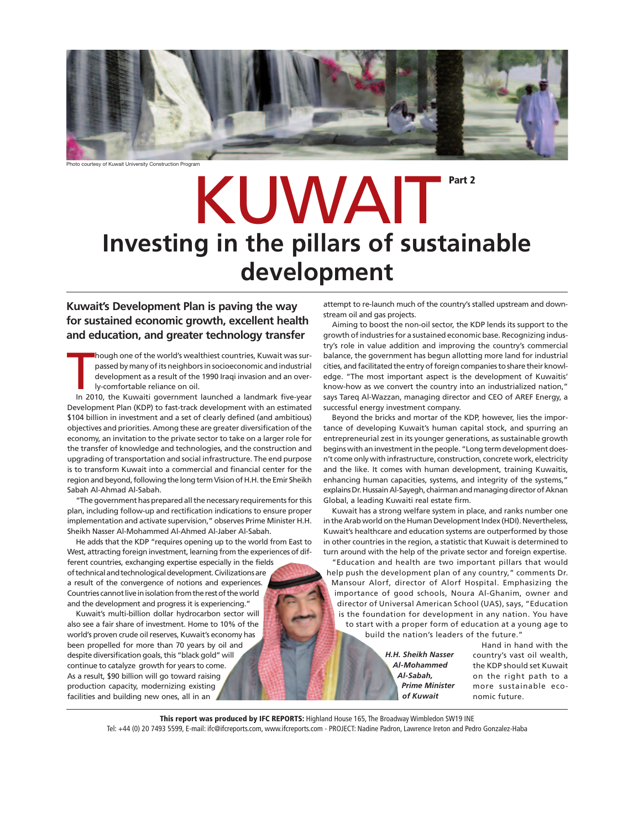

Photo courtesy of Kuwait University Construction Program

# KUWAIT<sup>Part 2</sup> **Investing in the pillars of sustainable development**

### **Kuwait's Development Plan is paving the way for sustained economic growth, excellent health and education, and greater technology transfer**

Though one of the world's wealthiest countries, Kuwait was sur-<br>passed by many of its neighbors in socioeconomic and industrial<br>development as a result of the 1990 Iraqi invasion and an over-<br>ly-comfortable reliance on oil hough one of the world's wealthiest countries, Kuwait was surpassed by many of its neighbors in socioeconomic and industrial development as a result of the 1990 Iraqi invasion and an overly-comfortable reliance on oil.

Development Plan (KDP) to fast-track development with an estimated \$104 billion in investment and a set of clearly defined (and ambitious) objectives and priorities. Among these are greater diversification of the economy, an invitation to the private sector to take on a larger role for the transfer of knowledge and technologies, and the construction and upgrading of transportation and social infrastructure. The end purpose is to transform Kuwait into a commercial and financial center for the region and beyond, following the long term Vision of H.H. the Emir Sheikh Sabah Al-Ahmad Al-Sabah.

"The government has prepared all the necessary requirements for this plan, including follow-up and rectification indications to ensure proper implementation and activate supervision," observes Prime Minister H.H. Sheikh Nasser Al-Mohammed Al-Ahmed Al-Jaber Al-Sabah.

He adds that the KDP "requires opening up to the world from East to West, attracting foreign investment, learning from the experiences of different countries, exchanging expertise especially in the fields of technical and technological development. Civilizations are a result of the convergence of notions and experiences. Countries cannot live in isolation from the rest of the world and the development and progress it is experiencing."

Kuwait's multi-billion dollar hydrocarbon sector will also see a fair share of investment. Home to 10% of the world's proven crude oil reserves, Kuwait's economy has been propelled for more than 70 years by oil and despite diversification goals, this "black gold" will continue to catalyze growth for years to come. As a result, \$90 billion will go toward raising production capacity, modernizing existing facilities and building new ones, all in an

attempt to re-launch much of the country's stalled upstream and downstream oil and gas projects.

Aiming to boost the non-oil sector, the KDP lends its support to the growth of industries for a sustained economic base. Recognizing industry's role in value addition and improving the country's commercial balance, the government has begun allotting more land for industrial cities, and facilitated the entry of foreign companies to share their knowledge. "The most important aspect is the development of Kuwaitis' know-how as we convert the country into an industrialized nation," says Tareq Al-Wazzan, managing director and CEO of AREF Energy, a successful energy investment company.

Beyond the bricks and mortar of the KDP, however, lies the importance of developing Kuwait's human capital stock, and spurring an entrepreneurial zest in its younger generations, as sustainable growth begins with an investment in the people. "Long term development doesn't come only with infrastructure, construction, concrete work, electricity and the like. It comes with human development, training Kuwaitis, enhancing human capacities, systems, and integrity of the systems," explains Dr. Hussain Al-Sayegh, chairman and managing director of Aknan Global, a leading Kuwaiti real estate firm.

Kuwait has a strong welfare system in place, and ranks number one in the Arab world on the Human Development Index (HDI). Nevertheless, Kuwait's healthcare and education systems are outperformed by those in other countries in the region, a statistic that Kuwait is determined to turn around with the help of the private sector and foreign expertise.

"Education and health are two important pillars that would help push the development plan of any country," comments Dr. Mansour Alorf, director of Alorf Hospital. Emphasizing the importance of good schools, Noura Al-Ghanim, owner and director of Universal American School (UAS), says, "Education is the foundation for development in any nation. You have to start with a proper form of education at a young age to build the nation's leaders of the future."

> *H.H. Sheikh Nasser Al-Mohammed Al-Sabah, Prime Minister of Kuwait*

Hand in hand with the country's vast oil wealth, the KDP should set Kuwait on the right path to a more sustainable economic future.

**This report was produced by IFC REPORTS:** Highland House 165, The Broadway Wimbledon SW19 INE Tel: +44 (0) 20 7493 5599, E-mail: ifc@ifcreports.com, www.ifcreports.com - PROJECT: Nadine Padron, Lawrence Ireton and Pedro Gonzalez-Haba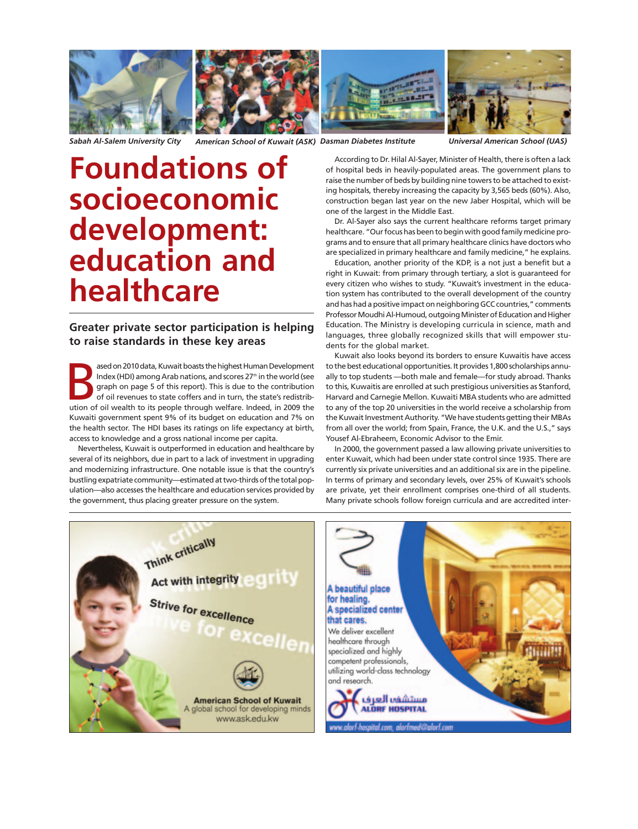

*Sabah Al-Salem University City American School of Kuwait (ASK) Dasman Diabetes Institute Universal American School (UAS)*

# **Foundations of socioeconomic development: education and healthcare**

### **Greater private sector participation is helping to raise standards in these key areas**

ased on 2010 data, Kuwait boasts the highest Human Development<br>
Index (HDI) among Arab nations, and scores 27<sup>th</sup> in the world (see<br>
graph on page 5 of this report). This is due to the contribution<br>
of oil revenues to stat ased on 2010 data, Kuwait boasts the highest Human Development Index (HDI) among Arab nations, and scores 27<sup>th</sup> in the world (see graph on page 5 of this report). This is due to the contribution of oil revenues to state coffers and in turn, the state's redistrib-Kuwaiti government spent 9% of its budget on education and 7% on the health sector. The HDI bases its ratings on life expectancy at birth, access to knowledge and a gross national income per capita.

Nevertheless, Kuwait is outperformed in education and healthcare by several of its neighbors, due in part to a lack of investment in upgrading and modernizing infrastructure. One notable issue is that the country's bustling expatriate community—estimated at two-thirds of the total population—also accesses the healthcare and education services provided by the government, thus placing greater pressure on the system.

According to Dr. Hilal Al-Sayer, Minister of Health, there is often a lack of hospital beds in heavily-populated areas. The government plans to raise the number of beds by building nine towers to be attached to existing hospitals, thereby increasing the capacity by 3,565 beds (60%). Also, construction began last year on the new Jaber Hospital, which will be one of the largest in the Middle East.

Dr. Al-Sayer also says the current healthcare reforms target primary healthcare. "Our focus has been to begin with good family medicine programs and to ensure that all primary healthcare clinics have doctors who are specialized in primary healthcare and family medicine," he explains.

Education, another priority of the KDP, is a not just a benefit but a right in Kuwait: from primary through tertiary, a slot is guaranteed for every citizen who wishes to study. "Kuwait's investment in the education system has contributed to the overall development of the country and has had a positive impact on neighboring GCC countries," comments Professor Moudhi Al-Humoud, outgoing Minister of Education and Higher Education. The Ministry is developing curricula in science, math and languages, three globally recognized skills that will empower students for the global market.

Kuwait also looks beyond its borders to ensure Kuwaitis have access to the best educational opportunities. It provides 1,800 scholarships annually to top students —both male and female—for study abroad. Thanks to this, Kuwaitis are enrolled at such prestigious universities as Stanford, Harvard and Carnegie Mellon. Kuwaiti MBA students who are admitted to any of the top 20 universities in the world receive a scholarship from the Kuwait Investment Authority. "We have students getting their MBAs from all over the world; from Spain, France, the U.K. and the U.S.," says Yousef Al-Ebraheem, Economic Advisor to the Emir.

In 2000, the government passed a law allowing private universities to enter Kuwait, which had been under state control since 1935. There are currently six private universities and an additional six are in the pipeline. In terms of primary and secondary levels, over 25% of Kuwait's schools are private, yet their enrollment comprises one-third of all students. Many private schools follow foreign curricula and are accredited inter-



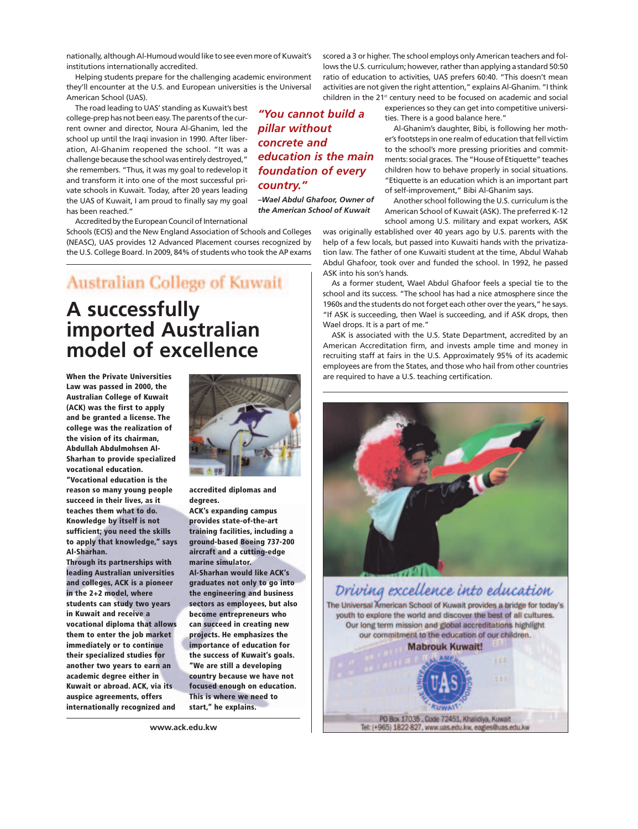nationally, although Al-Humoud would like to see even more of Kuwait's institutions internationally accredited.

Helping students prepare for the challenging academic environment they'll encounter at the U.S. and European universities is the Universal American School (UAS).

The road leading to UAS' standing as Kuwait's best college-prep has not been easy. The parents of the current owner and director, Noura Al-Ghanim, led the school up until the Iraqi invasion in 1990. After liberation, Al-Ghanim reopened the school. "It was a challenge because the school was entirely destroyed," she remembers. "Thus, it was my goal to redevelop it and transform it into one of the most successful private schools in Kuwait. Today, after 20 years leading the UAS of Kuwait, I am proud to finally say my goal has been reached."

Accredited by the European Council of International

Schools (ECIS) and the New England Association of Schools and Colleges (NEASC), UAS provides 12 Advanced Placement courses recognized by the U.S. College Board. In 2009, 84% of students who took the AP exams

## Australian College of Kuwait

# **A successfully imported Australian model of excellence**

**When the Private Universities Law was passed in 2000, the Australian College of Kuwait (ACK) was the first to apply and be granted a license. The college was the realization of the vision of its chairman, Abdullah Abdulmohsen Al-Sharhan to provide specialized vocational education.**

**"Vocational education is the reason so many young people succeed in their lives, as it teaches them what to do. Knowledge by itself is not sufficient; you need the skills to apply that knowledge," says Al-Sharhan.**

**Through its partnerships with leading Australian universities and colleges, ACK is a pioneer in the 2+2 model, where students can study two years in Kuwait and receive a vocational diploma that allows them to enter the job market immediately or to continue their specialized studies for another two years to earn an academic degree either in Kuwait or abroad. ACK, via its auspice agreements, offers internationally recognized and**



**accredited diplomas and degrees.**

**ACK's expanding campus provides state-of-the-art training facilities, including a ground-based Boeing 737-200 aircraft and a cutting-edge marine simulator. Al-Sharhan would like ACK's graduates not only to go into the engineering and business sectors as employees, but also become entrepreneurs who can succeed in creating new projects. He emphasizes the importance of education for the success of Kuwait's goals. "We are still a developing country because we have not focused enough on education. This is where we need to start," he explains.**

**www.ack.edu.kw**

scored a 3 or higher. The school employs only American teachers and follows the U.S. curriculum; however, rather than applying a standard 50:50 ratio of education to activities, UAS prefers 60:40. "This doesn't mean activities are not given the right attention," explains Al-Ghanim. "I think children in the 21<sup>st</sup> century need to be focused on academic and social

> experiences so they can get into competitive universities. There is a good balance here."

Al-Ghanim's daughter, Bibi, is following her mother's footsteps in one realm of education that fell victim to the school's more pressing priorities and commitments: social graces. The "House of Etiquette" teaches children how to behave properly in social situations. "Etiquette is an education which is an important part of self-improvement," Bibi Al-Ghanim says.

Another school following the U.S. curriculum is the American School of Kuwait (ASK). The preferred K-12 school among U.S. military and expat workers, ASK

was originally established over 40 years ago by U.S. parents with the help of a few locals, but passed into Kuwaiti hands with the privatization law. The father of one Kuwaiti student at the time, Abdul Wahab Abdul Ghafoor, took over and funded the school. In 1992, he passed ASK into his son's hands.

As a former student, Wael Abdul Ghafoor feels a special tie to the school and its success. "The school has had a nice atmosphere since the 1960s and the students do not forget each other over the years," he says. "If ASK is succeeding, then Wael is succeeding, and if ASK drops, then Wael drops. It is a part of me."

ASK is associated with the U.S. State Department, accredited by an American Accreditation firm, and invests ample time and money in recruiting staff at fairs in the U.S. Approximately 95% of its academic employees are from the States, and those who hail from other countries are required to have a U.S. teaching certification.





*"You cannot build a pillar without concrete and education is the main foundation of every*

*–Wael Abdul Ghafoor, Owner of the American School of Kuwait* 

*country."*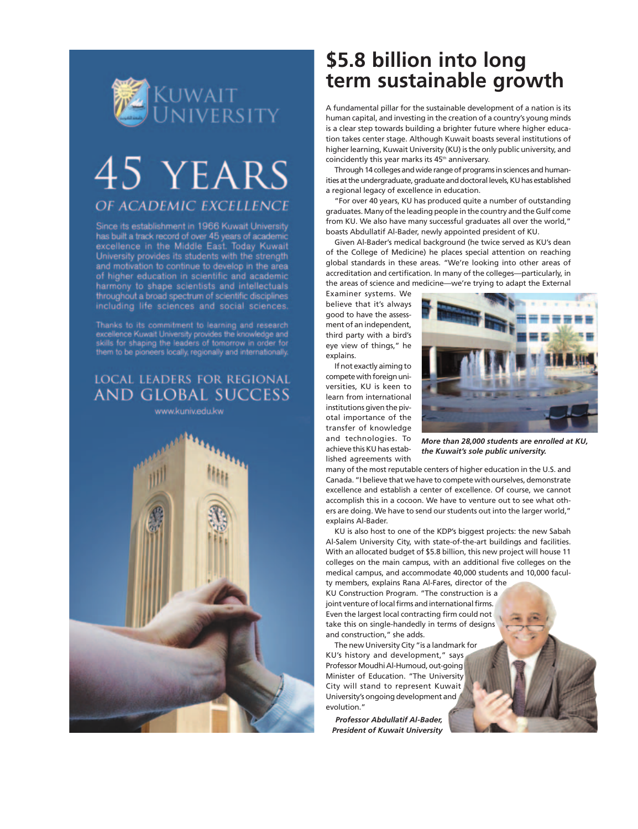

# 45 YEARS OF ACADEMIC EXCELLENCE

Since its establishment in 1966 Kuwait University has built a track record of over 45 years of academic excellence in the Middle East. Today Kuwait University provides its students with the strength and motivation to continue to develop in the area of higher education in scientific and academic harmony to shape scientists and intellectuals throughout a broad spectrum of scientific disciplines including life sciences and social sciences.

Thanks to its commitment to learning and research excellence Kuwait University provides the knowledge and skills for shaping the leaders of tomorrow in order for<br>them to be pioneers locally, regionally and internationally.

## **LOCAL LEADERS FOR REGIONAL AND GLOBAL SUCCESS**

www.kuniv.edu.kw



# **\$5.8 billion into long term sustainable growth**

A fundamental pillar for the sustainable development of a nation is its human capital, and investing in the creation of a country's young minds is a clear step towards building a brighter future where higher education takes center stage. Although Kuwait boasts several institutions of higher learning, Kuwait University (KU) is the only public university, and coincidently this year marks its 45<sup>th</sup> anniversary.

Through 14 colleges and wide range of programs in sciences and humanities at the undergraduate, graduate and doctoral levels, KU has established a regional legacy of excellence in education.

"For over 40 years, KU has produced quite a number of outstanding graduates. Many of the leading people in the country and the Gulf come from KU. We also have many successful graduates all over the world," boasts Abdullatif Al-Bader, newly appointed president of KU.

Given Al-Bader's medical background (he twice served as KU's dean of the College of Medicine) he places special attention on reaching global standards in these areas. "We're looking into other areas of accreditation and certification. In many of the colleges—particularly, in the areas of science and medicine—we're trying to adapt the External

Examiner systems. We believe that it's always good to have the assessment of an independent, third party with a bird's eye view of things," he explains.

If not exactly aiming to compete with foreign universities, KU is keen to learn from international institutions given the pivotal importance of the transfer of knowledge and technologies. To achieve this KU has established agreements with



*More than 28,000 students are enrolled at KU, the Kuwait's sole public university.*

many of the most reputable centers of higher education in the U.S. and Canada. "I believe that we have to compete with ourselves, demonstrate excellence and establish a center of excellence. Of course, we cannot accomplish this in a cocoon. We have to venture out to see what others are doing. We have to send our students out into the larger world," explains Al-Bader.

KU is also host to one of the KDP's biggest projects: the new Sabah Al-Salem University City, with state-of-the-art buildings and facilities. With an allocated budget of \$5.8 billion, this new project will house 11 colleges on the main campus, with an additional five colleges on the medical campus, and accommodate 40,000 students and 10,000 faculty members, explains Rana Al-Fares, director of the

KU Construction Program. "The construction is a joint venture of local firms and international firms. Even the largest local contracting firm could not take this on single-handedly in terms of designs and construction," she adds.

The new University City "is a landmark for KU's history and development," says Professor Moudhi Al-Humoud, out-going Minister of Education. "The University City will stand to represent Kuwait University's ongoing development and evolution."

*Professor Abdullatif Al-Bader, President of Kuwait University*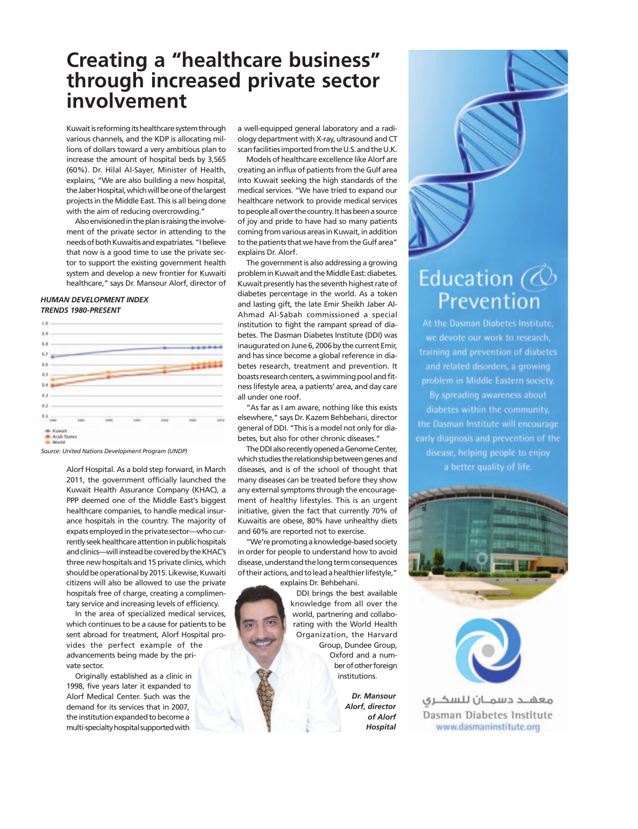## **Creating a "healthcare business" through increased private sector involvement**

Kuwait is reforming its healthcare system through various channels, and the KDP is allocating millions of dollars toward a very ambitious plan to increase the amount of hospital beds by 3,565 (60%). Dr. Hilal Al-Sayer, Minister of Health, explains, "We are also building a new hospital, the Jaber Hospital, which will be one of the largest projects in the Middle East. This is all being done with the aim of reducing overcrowding.'

Also envisioned in the plan is raising the involvement of the private sector in attending to the needs of both Kuwaitis and expatriates. "I believe that now is a good time to use the private sector to support the existing government health system and develop a new frontier for Kuwaiti healthcare," says Dr. Mansour Alorf, director of

#### *HUMAN DEVELOPMENT INDEX TRENDS 1980-PRESENT*



*Source: United Nations Development Program (UNDP)*

Alorf Hospital. As a bold step forward, in March 2011, the government officially launched the Kuwait Health Assurance Company (KHAC), a PPP deemed one of the Middle East's biggest healthcare companies, to handle medical insurance hospitals in the country. The majority of expats employed in the private sector—who currently seek healthcare attention in public hospitals and clinics—will instead be covered by the KHAC's three new hospitals and 15 private clinics, which should be operational by 2015. Likewise, Kuwaiti citizens will also be allowed to use the private hospitals free of charge, creating a complimentary service and increasing levels of efficiency.

In the area of specialized medical services, which continues to be a cause for patients to be sent abroad for treatment, Alorf Hospital provides the perfect example of the advancements being made by the private sector.

Originally established as a clinic in 1998, five years later it expanded to Alorf Medical Center. Such was the demand for its services that in 2007, the institution expanded to become a multi-specialty hospital supported with

a well-equipped general laboratory and a radiology department with X-ray, ultrasound and CT scan facilities imported from the U.S. and the U.K.

Models of healthcare excellence like Alorf are creating an influx of patients from the Gulf area into Kuwait seeking the high standards of the medical services. "We have tried to expand our healthcare network to provide medical services to people all over the country. It has been a source of joy and pride to have had so many patients coming from various areas in Kuwait, in addition to the patients that we have from the Gulf area" explains Dr. Alorf.

The government is also addressing a growing problem in Kuwait and the Middle East: diabetes. Kuwait presently has the seventh highest rate of diabetes percentage in the world. As a token and lasting gift, the late Emir Sheikh Jaber Al-Ahmad Al-Sabah commissioned a special institution to fight the rampant spread of diabetes. The Dasman Diabetes Institute (DDI) was inaugurated on June 6, 2006 by the current Emir, and has since become a global reference in diabetes research, treatment and prevention. It boasts research centers, a swimming pool and fitness lifestyle area, a patients' area, and day care all under one roof.

"As far as I am aware, nothing like this exists elsewhere," says Dr. Kazem Behbehani, director general of DDI. "This is a model not only for diabetes, but also for other chronic diseases."

The DDI also recently opened a Genome Center, which studies the relationship between genes and diseases, and is of the school of thought that many diseases can be treated before they show any external symptoms through the encouragement of healthy lifestyles. This is an urgent initiative, given the fact that currently 70% of Kuwaitis are obese, 80% have unhealthy diets and 60% are reported not to exercise.

"We're promoting a knowledge-based society in order for people to understand how to avoid disease, understand the long term consequences of their actions, and to lead a healthier lifestyle,"

explains Dr. Behbehani. DDI brings the best available knowledge from all over the world, partnering and collaborating with the World Health Organization, the Harvard Group, Dundee Group, Oxford and a number of other foreign institutions.

> *Dr. Mansour Alorf, director of Alorf Hospital*

# Education  $\oslash$ Prevention

At the Dasman Diabetes Institute. we devote our work to research. training and prevention of diabetes and related disorders, a growing problem in Middle Eastern society. By spreading awareness about diabetes within the community, the Dasman Institute will encourage early diagnosis and prevention of the disease, helping people to enjoy a better quality of life.



معهــد دسمــان للسكــري Dasman Diabetes Institute www.dasmaninstitute.org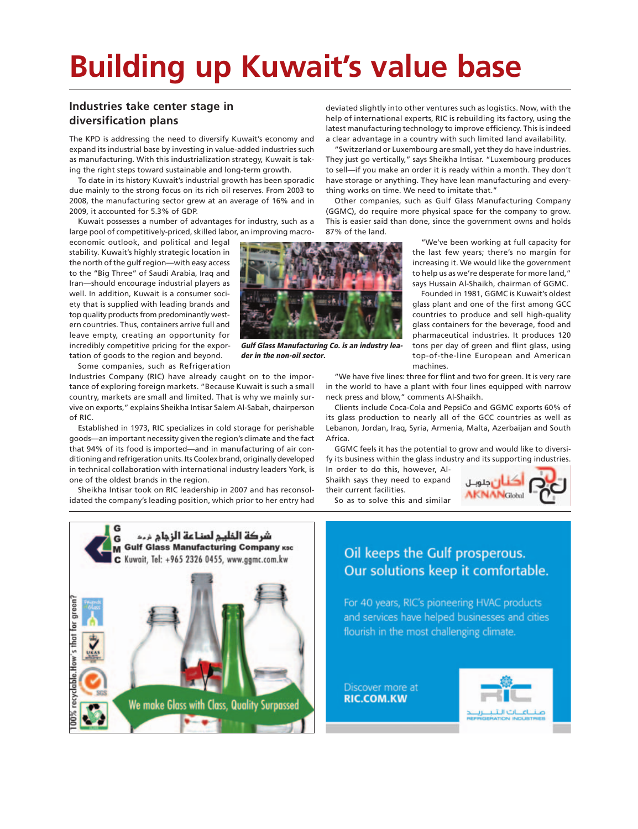# **Building up Kuwait's value base**

### **Industries take center stage in diversification plans**

The KPD is addressing the need to diversify Kuwait's economy and expand its industrial base by investing in value-added industries such as manufacturing. With this industrialization strategy, Kuwait is taking the right steps toward sustainable and long-term growth.

To date in its history Kuwait's industrial growth has been sporadic due mainly to the strong focus on its rich oil reserves. From 2003 to 2008, the manufacturing sector grew at an average of 16% and in 2009, it accounted for 5.3% of GDP.

Kuwait possesses a number of advantages for industry, such as a large pool of competitively-priced, skilled labor, an improving macro-

economic outlook, and political and legal stability. Kuwait's highly strategic location in the north of the gulf region—with easy access to the "Big Three" of Saudi Arabia, Iraq and Iran—should encourage industrial players as well. In addition, Kuwait is a consumer society that is supplied with leading brands and top quality products from predominantly western countries. Thus, containers arrive full and leave empty, creating an opportunity for incredibly competitive pricing for the exportation of goods to the region and beyond.

Some companies, such as Refrigeration Industries Company (RIC) have already caught on to the importance of exploring foreign markets. "Because Kuwait is such a small country, markets are small and limited. That is why we mainly survive on exports," explains Sheikha Intisar Salem Al-Sabah, chairperson of RIC.

Established in 1973, RIC specializes in cold storage for perishable goods—an important necessity given the region's climate and the fact that 94% of its food is imported—and in manufacturing of air conditioning and refrigeration units. Its Coolex brand, originally developed in technical collaboration with international industry leaders York, is one of the oldest brands in the region.

Sheikha Intisar took on RIC leadership in 2007 and has reconsolidated the company's leading position, which prior to her entry had



**Gulf Glass Manufacturing Co. is an industry leader in the non-oil sector.**

deviated slightly into other ventures such as logistics. Now, with the help of international experts, RIC is rebuilding its factory, using the latest manufacturing technology to improve efficiency. This is indeed a clear advantage in a country with such limited land availability.

"Switzerland or Luxembourg are small, yet they do have industries. They just go vertically," says Sheikha Intisar. "Luxembourg produces to sell—if you make an order it is ready within a month. They don't have storage or anything. They have lean manufacturing and everything works on time. We need to imitate that."

Other companies, such as Gulf Glass Manufacturing Company (GGMC), do require more physical space for the company to grow. This is easier said than done, since the government owns and holds 87% of the land.

> "We've been working at full capacity for the last few years; there's no margin for increasing it. We would like the government to help us as we're desperate for more land," says Hussain Al-Shaikh, chairman of GGMC.

> Founded in 1981, GGMC is Kuwait's oldest glass plant and one of the first among GCC countries to produce and sell high-quality glass containers for the beverage, food and pharmaceutical industries. It produces 120 tons per day of green and flint glass, using top-of-the-line European and American machines.

"We have five lines: three for flint and two for green. It is very rare in the world to have a plant with four lines equipped with narrow neck press and blow," comments Al-Shaikh.

Clients include Coca-Cola and PepsiCo and GGMC exports 60% of its glass production to nearly all of the GCC countries as well as Lebanon, Jordan, Iraq, Syria, Armenia, Malta, Azerbaijan and South Africa.

GGMC feels it has the potential to grow and would like to diversify its business within the glass industry and its supporting industries.

In order to do this, however, Al-Shaikh says they need to expand their current facilities.



So as to solve this and similar



### Oil keeps the Gulf prosperous. Our solutions keep it comfortable.

For 40 years, RIC's pioneering HVAC products and services have helped businesses and cities flourish in the most challenging climate.

Discover more at **RIC.COM.KW** 

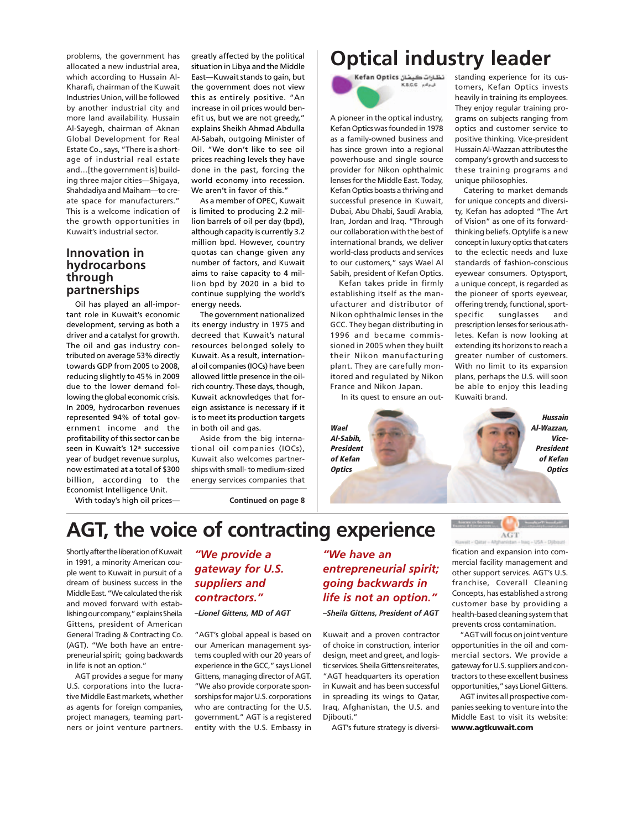problems, the government has allocated a new industrial area, which according to Hussain Al-Kharafi, chairman of the Kuwait Industries Union, will be followed by another industrial city and more land availability. Hussain Al-Sayegh, chairman of Aknan Global Development for Real Estate Co., says, "There is a shortage of industrial real estate and…[the government is] building three major cities—Shigaya, Shahdadiya and Maiham—to create space for manufacturers." This is a welcome indication of the growth opportunities in Kuwait's industrial sector.

### **Innovation in hydrocarbons through partnerships**

Oil has played an all-important role in Kuwait's economic development, serving as both a driver and a catalyst for growth. The oil and gas industry contributed on average 53% directly towards GDP from 2005 to 2008, reducing slightly to 45% in 2009 due to the lower demand following the global economic crisis. In 2009, hydrocarbon revenues represented 94% of total government income and the profitability of this sector can be seen in Kuwait's 12<sup>th</sup> successive year of budget revenue surplus, now estimated at a total of \$300 billion, according to the Economist Intelligence Unit.

greatly affected by the political situation in Libya and the Middle East—Kuwait stands to gain, but the government does not view this as entirely positive. "An increase in oil prices would benefit us, but we are not greedy," explains Sheikh Ahmad Abdulla Al-Sabah, outgoing Minister of Oil. "We don't like to see oil prices reaching levels they have done in the past, forcing the world economy into recession. We aren't in favor of this."

As a member of OPEC, Kuwait is limited to producing 2.2 million barrels of oil per day (bpd), although capacity is currently 3.2 million bpd. However, country quotas can change given any number of factors, and Kuwait aims to raise capacity to 4 million bpd by 2020 in a bid to continue supplying the world's energy needs.

The government nationalized its energy industry in 1975 and decreed that Kuwait's natural resources belonged solely to Kuwait. As a result, international oil companies (IOCs) have been allowed little presence in the oilrich country. These days, though, Kuwait acknowledges that foreign assistance is necessary if it is to meet its production targets in both oil and gas.

Aside from the big international oil companies (IOCs), Kuwait also welcomes partnerships with small- to medium-sized energy services companies that

**Continued on page 8**

# **Optical industry leader**

نظارات كيفان Kefan Optics KS.C.C. Med

A pioneer in the optical industry, Kefan Optics was founded in 1978 as a family-owned business and has since grown into a regional powerhouse and single source provider for Nikon ophthalmic lenses for the Middle East. Today, Kefan Optics boasts a thriving and successful presence in Kuwait, Dubai, Abu Dhabi, Saudi Arabia, Iran, Jordan and Iraq. "Through our collaboration with the best of international brands, we deliver world-class products and services to our customers," says Wael Al Sabih, president of Kefan Optics.

Kefan takes pride in firmly establishing itself as the manufacturer and distributor of Nikon ophthalmic lenses in the GCC. They began distributing in 1996 and became commissioned in 2005 when they built their Nikon manufacturing plant. They are carefully monitored and regulated by Nikon France and Nikon Japan.

In its quest to ensure an out-

**Wael Al-Sabih, President of Kefan Optics**

standing experience for its customers, Kefan Optics invests heavily in training its employees. They enjoy regular training programs on subjects ranging from optics and customer service to positive thinking. Vice-president Hussain Al-Wazzan attributes the company's growth and success to these training programs and unique philosophies.

Catering to market demands for unique concepts and diversity, Kefan has adopted "The Art of Vision" as one of its forwardthinking beliefs. Optylife is a new concept in luxury optics that caters to the eclectic needs and luxe standards of fashion-conscious eyewear consumers. Optysport, a unique concept, is regarded as the pioneer of sports eyewear, offering trendy, functional, sportspecific sunglasses and prescription lenses for serious athletes. Kefan is now looking at extending its horizons to reach a greater number of customers. With no limit to its expansion plans, perhaps the U.S. will soon be able to enjoy this leading Kuwaiti brand.

> **Hussain Al-Wazzan, Vice-President of Kefan Optics**

**Controller** 

With today's high oil prices—

# **AGT, the voice of contracting experience**

Shortly after the liberation of Kuwait in 1991, a minority American couple went to Kuwait in pursuit of a dream of business success in the Middle East. "We calculated the risk and moved forward with establishing our company," explains Sheila Gittens, president of American General Trading & Contracting Co. (AGT). "We both have an entrepreneurial spirit; going backwards in life is not an option."

AGT provides a segue for many U.S. corporations into the lucrative Middle East markets, whether as agents for foreign companies. project managers, teaming partners or joint venture partners.

### *"We provide a gateway for U.S. suppliers and contractors."*

*–Lionel Gittens, MD of AGT*

"AGT's global appeal is based on our American management systems coupled with our 20 years of experience in the GCC," says Lionel Gittens, managing director of AGT. "We also provide corporate sponsorships for major U.S. corporations who are contracting for the U.S. government." AGT is a registered entity with the U.S. Embassy in *"We have an entrepreneurial spirit; going backwards in life is not an option." –Sheila Gittens, President of AGT*

Kuwait and a proven contractor of choice in construction, interior design, meet and greet, and logistic services. Sheila Gittens reiterates, "AGT headquarters its operation in Kuwait and has been successful in spreading its wings to Qatar, Iraq, Afghanistan, the U.S. and Djibouti."

AGT's future strategy is diversi-

**It - Oldar - African**  $-$  Iraq - USA - Disbouti fication and expansion into commercial facility management and other support services. AGT's U.S. franchise, Coverall Cleaning Concepts, has established a strong customer base by providing a health-based cleaning system that prevents cross contamination.

 $\rm{AGT}$ 

Automobile General

"AGT will focus on joint venture opportunities in the oil and commercial sectors. We provide a gateway for U.S. suppliers and contractors to these excellent business opportunities," says Lionel Gittens.

AGT invites all prospective companies seeking to venture into the Middle East to visit its website: **www.agtkuwait.com**